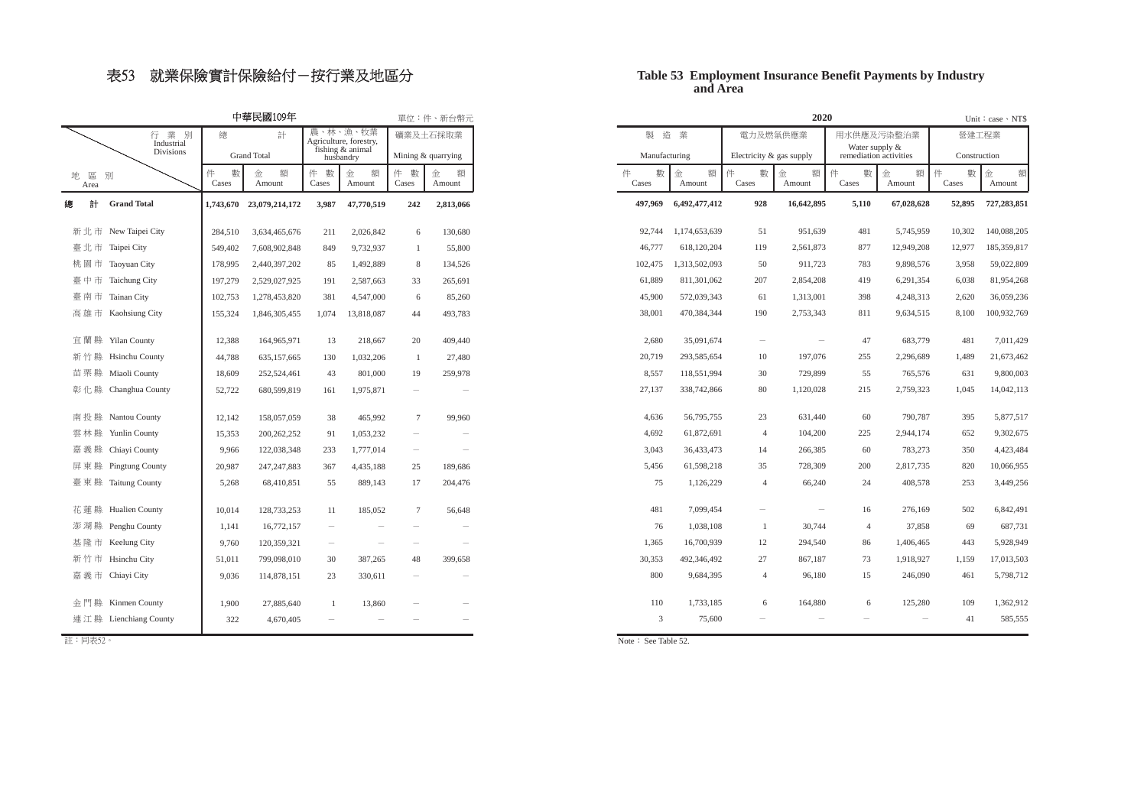### 表53 就業保險實計保險給付-按行業及地區分

### **and AreaTable 53 Employment Insurance Benefit Payments by Industry**

**52,895 727,283,851** 10,302 140,088,205 12,977 185,359,817

Unit: case \NT\$

慹ˢˢˢ柵Amount

營建工程業 Construction

數

59,022,809 81,954,268 36,059,236 100,932,769 7,011,429 21,673,462 9,800,003 14,042,113 5,877,517 9,302,675 4,423,484 10,066,955 3,449,256 6,842,491 687,731 5,928,949 17,013,503 5,798,712 1,362,912 585,555

3,958 6,038 2,620 8,100

481 1,489 631 1,045

> 109 41

| 中華民國109年                      |                       |                 |                          |                          |                                    |                          | 單位:件、新台幣元                |            | 2020                  |                          |                          |                 |                        |  |  |
|-------------------------------|-----------------------|-----------------|--------------------------|--------------------------|------------------------------------|--------------------------|--------------------------|------------|-----------------------|--------------------------|--------------------------|-----------------|------------------------|--|--|
|                               | 行 業 別<br>Industrial   | 總               | 計                        |                          | 農、林、漁、牧業<br>Agriculture, forestry, |                          | 礦業及土石採取業                 |            | 製造業                   |                          | 電力及燃氣供應業                 |                 | 用水供應及污染整治業             |  |  |
|                               | Divisions             |                 | <b>Grand Total</b>       |                          | fishing & animal<br>husbandry      |                          | Mining & quarrying       |            | Manufacturing         | Electricity & gas supply |                          | Water supply &  | remediation activities |  |  |
| 地<br>$\overline{\Xi}$<br>Area | 別                     | 件<br>數<br>Cases | 額<br>金<br>Amount         | 件<br>數<br>Cases          | 金<br>額<br>Amount                   | 件 數<br>Cases             | 額<br>金<br>Amount         | 件<br>Cases | 金<br>額<br>數<br>Amount | 件<br>數<br>Cases          | 額<br>金<br>Amount         | 件<br>數<br>Cases | 額<br>金<br>Amount       |  |  |
| 計<br>總                        | <b>Grand Total</b>    |                 | 1,743,670 23,079,214,172 | 3,987                    | 47,770,519                         | 242                      | 2,813,066                | 497,969    | 6,492,477,412         | 928                      | 16,642,895               | 5,110           | 67,028,628             |  |  |
|                               | 新北市 New Taipei City   | 284,510         | 3,634,465,676            | 211                      | 2,026,842                          | 6                        | 130,680                  | 92,744     | 1,174,653,639         | 51                       | 951,639                  | 481             | 5,745,959              |  |  |
|                               | 臺北市 Taipei City       | 549,402         | 7,608,902,848            | 849                      | 9,732,937                          | -1                       | 55,800                   | 46,777     | 618,120,204           | 119                      | 2,561,873                | 877             | 12,949,208             |  |  |
|                               | 桃園市 Taoyuan City      | 178,995         | 2,440,397,202            | 85                       | 1,492,889                          | 8                        | 134,526                  | 102,475    | 1,313,502,093         | 50                       | 911,723                  | 783             | 9,898,576              |  |  |
|                               | 臺中市 Taichung City     | 197,279         | 2,529,027,925            | 191                      | 2,587,663                          | 33                       | 265,691                  | 61,889     | 811,301,062           | 207                      | 2,854,208                | 419             | 6,291,354              |  |  |
|                               | 臺南市 Tainan City       | 102,753         | 1,278,453,820            | 381                      | 4,547,000                          | 6                        | 85,260                   | 45,900     | 572,039,343           | 61                       | 1,313,001                | 398             | 4,248,313              |  |  |
|                               | 高雄市 Kaohsiung City    | 155,324         | 1,846,305,455            | 1,074                    | 13,818,087                         | 44                       | 493,783                  | 38,001     | 470,384,344           | 190                      | 2,753,343                | 811             | 9,634,515              |  |  |
|                               | 宜蘭縣 Yilan County      | 12,388          | 164,965,971              | 13                       | 218,667                            | 20                       | 409,440                  | 2,680      | 35,091,674            | $\overline{\phantom{a}}$ | $\overline{\phantom{a}}$ | 47              | 683,779                |  |  |
|                               | 新竹縣 Hsinchu County    | 44,788          | 635,157,665              | 130                      | 1,032,206                          | -1                       | 27,480                   | 20,719     | 293,585,654           | 10                       | 197,076                  | 255             | 2,296,689              |  |  |
|                               | 苗栗縣 Miaoli County     | 18,609          | 252,524,461              | 43                       | 801,000                            | 19                       | 259,978                  | 8,557      | 118,551,994           | 30                       | 729,899                  | 55              | 765,576                |  |  |
|                               | 彰 化 縣 Changhua County | 52,722          | 680,599,819              | 161                      | 1,975,871                          | $\overline{\phantom{a}}$ | $\overline{\phantom{a}}$ | 27,137     | 338,742,866           | 80                       | 1,120,028                | 215             | 2,759,323              |  |  |
|                               | 南投縣 Nantou County     | 12,142          | 158,057,059              | 38                       | 465,992                            | $\overline{7}$           | 99,960                   | 4,636      | 56,795,755            | 23                       | 631,440                  | 60              | 790,787                |  |  |
|                               | 雲林縣 Yunlin County     | 15,353          | 200,262,252              | 91                       | 1,053,232                          | $\overline{\phantom{a}}$ | $\overline{\phantom{a}}$ | 4,692      | 61,872,691            | $\overline{4}$           | 104,200                  | 225             | 2,944,174              |  |  |
|                               | 嘉義縣 Chiayi County     | 9,966           | 122,038,348              | 233                      | 1,777,014                          | $\overline{\phantom{a}}$ | $\overline{\phantom{a}}$ | 3,043      | 36,433,473            | 14                       | 266,385                  | 60              | 783,273                |  |  |
|                               | 屏東縣 Pingtung County   | 20,987          | 247, 247, 883            | 367                      | 4,435,188                          | 25                       | 189,686                  | 5,456      | 61,598,218            | 35                       | 728,309                  | 200             | 2,817,735              |  |  |
|                               | 臺東縣 Taitung County    | 5,268           | 68,410,851               | 55                       | 889,143                            | 17                       | 204,476                  | 75         | 1,126,229             | $\overline{4}$           | 66,240                   | 24              | 408,578                |  |  |
|                               | 花蓮縣 Hualien County    | 10.014          | 128,733,253              | 11                       | 185,052                            | 7                        | 56,648                   | 481        | 7,099,454             | $\overline{\phantom{a}}$ |                          | 16              | 276,169                |  |  |
|                               | 澎湖縣 Penghu County     | 1,141           | 16,772,157               | $\overline{\phantom{a}}$ | $\overline{\phantom{a}}$           |                          |                          | 76         | 1,038,108             | 1                        | 30,744                   | $\overline{4}$  | 37,858                 |  |  |
|                               | 基隆市 Keelung City      | 9,760           | 120,359,321              | $\overline{\phantom{a}}$ |                                    |                          | $\overline{\phantom{a}}$ | 1,365      | 16,700,939            | 12                       | 294,540                  | 86              | 1,406,465              |  |  |
|                               | 新竹市 Hsinchu City      | 51,011          | 799,098,010              | 30                       | 387,265                            | 48                       | 399,658                  | 30,353     | 492,346,492           | 27                       | 867,187                  | 73              | 1,918,927              |  |  |
|                               | 嘉 義 市 Chiayi City     | 9,036           | 114,878,151              | 23                       | 330,611                            |                          |                          | 800        | 9,684,395             | $\overline{4}$           | 96,180                   | 15              | 246,090                |  |  |
|                               | 金門縣 Kinmen County     | 1,900           | 27,885,640               | 1                        | 13,860                             |                          |                          | 110        | 1,733,185             | 6                        | 164,880                  | 6               | 125,280                |  |  |
|                               | 連江縣 Lienchiang County | 322             | 4,670,405                |                          |                                    |                          |                          |            | 3<br>75,600           |                          |                          |                 |                        |  |  |

註:同表52。

Note: See Table 52.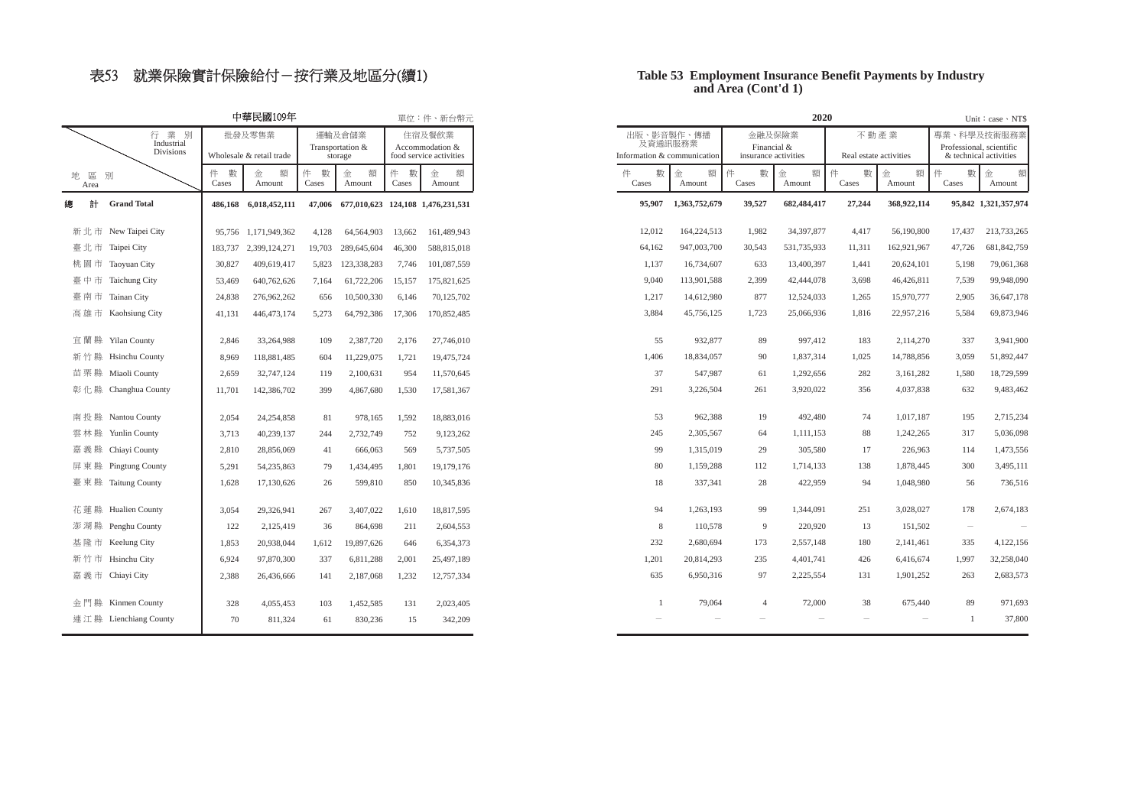# 表53 就業保險實計保險給付–按行業及地區分(續1)

#### **and Area (Cont'd 1) Table 53 Employment Insurance Benefit Payments by Industry**

| 中華民國109年         |                                       |              |                                    |                                       |                  |                                                      | 單位:件、新台幣元                                |            |                                                      |                 | 2020                                          |                 |                                |                                                                   | Unit: $case \cdot NTS$ |
|------------------|---------------------------------------|--------------|------------------------------------|---------------------------------------|------------------|------------------------------------------------------|------------------------------------------|------------|------------------------------------------------------|-----------------|-----------------------------------------------|-----------------|--------------------------------|-------------------------------------------------------------------|------------------------|
|                  | 行業別<br>Industrial<br><b>Divisions</b> |              | 批發及零售業<br>Wholesale & retail trade | 運輸及倉儲業<br>Transportation &<br>storage |                  | 住宿及餐飲業<br>Accommodation &<br>food service activities |                                          |            | 出版、影音製作、傳播<br>及資通訊服務業<br>Information & communication |                 | 金融及保險業<br>Financial &<br>insurance activities |                 | 不動產業<br>Real estate activities | 專業、科學及技術服務業<br>Professional, scientific<br>& technical activities |                        |
| 區 別<br>地<br>Area |                                       | 件 數<br>Cases | 額<br>金<br>Amount                   | 件 數<br>Cases                          | 額<br>金<br>Amount | 件<br>數<br>Cases                                      | 金<br>額<br>Amount                         | 件<br>Cases | 數<br>額<br>金<br>Amount                                | 件<br>數<br>Cases | 額<br>金<br>Amount                              | 件<br>數<br>Cases | 額<br>金<br>Amount               | 件<br>數<br>Cases                                                   | 金<br>Amount            |
| 計                | <b>Grand Total</b>                    |              | 486,168 6,018,452,111              |                                       |                  |                                                      | 47,006 677,010,623 124,108 1,476,231,531 | 95,907     | 1,363,752,679                                        | 39,527          | 682,484,417                                   | 27,244          | 368,922,114                    | 95,842 1,321,357,974                                              |                        |
|                  | 新北市 New Taipei City                   |              | 95,756 1,171,949,362               | 4,128                                 | 64,564,903       | 13,662                                               | 161,489,943                              | 12,012     | 164,224,513                                          | 1,982           | 34, 397, 877                                  | 4,417           | 56,190,800                     | 17,437                                                            | 213,733,265            |
|                  | 臺 北 市 Taipei City                     |              | 183,737 2,399,124,271              | 19,703                                | 289,645,604      | 46,300                                               | 588,815,018                              | 64,162     | 947,003,700                                          | 30,543          | 531,735,933                                   | 11,311          | 162,921,967                    | 47,726                                                            | 681, 842, 759          |
|                  | 桃園市 Taoyuan City                      | 30,827       | 409,619,417                        | 5,823                                 | 123,338,283      | 7,746                                                | 101,087,559                              | 1,137      | 16,734,607                                           | 633             | 13,400,397                                    | 1,441           | 20,624,101                     | 5,198                                                             | 79,061,368             |
|                  | 臺中市 Taichung City                     | 53,469       | 640,762,626                        | 7,164                                 | 61,722,206       | 15,157                                               | 175,821,625                              | 9,040      | 113,901,588                                          | 2,399           | 42,444,078                                    | 3,698           | 46,426,811                     | 7,539                                                             | 99,948,090             |
|                  | 臺南市 Tainan City                       | 24,838       | 276,962,262                        | 656                                   | 10,500,330       | 6,146                                                | 70,125,702                               | 1,217      | 14,612,980                                           | 877             | 12,524,033                                    | 1,265           | 15,970,777                     | 2,905                                                             | 36,647,178             |
|                  | 高雄市 Kaohsiung City                    | 41,131       | 446, 473, 174                      | 5,273                                 | 64,792,386       | 17,306                                               | 170,852,485                              | 3,884      | 45,756,125                                           | 1,723           | 25,066,936                                    | 1,816           | 22,957,216                     | 5,584                                                             | 69,873,946             |
|                  | 宜蘭縣 Yilan County                      | 2,846        | 33,264,988                         | 109                                   | 2,387,720        | 2,176                                                | 27,746,010                               | 55         | 932,877                                              | 89              | 997,412                                       | 183             | 2,114,270                      | 337                                                               | 3,941,900              |
|                  | 新竹縣 Hsinchu County                    | 8,969        | 118,881,485                        | 604                                   | 11,229,075       | 1,721                                                | 19,475,724                               | 1,406      | 18,834,057                                           | 90              | 1,837,314                                     | 1,025           | 14,788,856                     | 3,059                                                             | 51,892,447             |
|                  | 苗栗縣 Miaoli County                     | 2,659        | 32,747,124                         | 119                                   | 2,100,631        | 954                                                  | 11,570,645                               | 37         | 547,987                                              | 61              | 1,292,656                                     | 282             | 3,161,282                      | 1,580                                                             | 18,729,599             |
|                  | 彰 化 縣 Changhua County                 | 11,701       | 142,386,702                        | 399                                   | 4,867,680        | 1,530                                                | 17,581,367                               | 291        | 3,226,504                                            | 261             | 3,920,022                                     | 356             | 4,037,838                      | 632                                                               |                        |
|                  | 南投縣 Nantou County                     | 2,054        | 24,254,858                         | 81                                    | 978,165          | 1,592                                                | 18,883,016                               | 53         | 962.388                                              | 19              | 492,480                                       | 74              | 1,017,187                      | 195                                                               |                        |
|                  | 雲林縣 Yunlin County                     | 3,713        | 40,239,137                         | 244                                   | 2,732,749        | 752                                                  | 9,123,262                                | 245        | 2.305.567                                            | 64              | 1,111,153                                     | 88              | 1,242,265                      | 317                                                               |                        |
|                  | 嘉義縣 Chiayi County                     | 2,810        | 28,856,069                         | 41                                    | 666,063          | 569                                                  | 5,737,505                                | 99         | 1.315.019                                            | 29              | 305,580                                       | 17              | 226,963                        | 114                                                               |                        |
|                  | 屏東縣 Pingtung County                   | 5,291        | 54,235,863                         | 79                                    | 1,434,495        | 1,801                                                | 19,179,176                               |            | 80<br>1,159,288                                      | 112             | 1,714,133                                     | 138             | 1,878,445                      | 300                                                               |                        |
|                  | 臺東縣 Taitung County                    | 1,628        | 17,130,626                         | 26                                    | 599,810          | 850                                                  | 10,345,836                               |            | 18<br>337,341                                        | 28              | 422,959                                       | 94              | 1,048,980                      | 56                                                                |                        |
|                  | 花蓮縣 Hualien County                    | 3,054        | 29,326,941                         | 267                                   | 3,407,022        | 1,610                                                | 18,817,595                               | 94         | 1.263.193                                            | 99              | 1.344.091                                     | 251             | 3.028.027                      | 178                                                               |                        |
|                  | 澎湖縣 Penghu County                     | 122          | 2,125,419                          | 36                                    | 864,698          | 211                                                  | 2,604,553                                |            | 8<br>110,578                                         | 9               | 220,920                                       | 13              | 151,502                        | $\overline{\phantom{a}}$                                          |                        |
|                  | 基隆市 Keelung City                      | 1,853        | 20,938,044                         | 1,612                                 | 19,897,626       | 646                                                  | 6,354,373                                | 232        | 2.680.694                                            | 173             | 2,557,148                                     | 180             | 2,141,461                      | 335                                                               |                        |
|                  | 新竹市 Hsinchu City                      | 6,924        | 97,870,300                         | 337                                   | 6,811,288        | 2,001                                                | 25,497,189                               | 1,201      | 20.814.293                                           | 235             | 4,401,741                                     | 426             | 6,416,674                      | 1,997                                                             | 32,258,040             |
|                  | 嘉 義 市 Chiayi City                     | 2,388        | 26,436,666                         | 141                                   | 2,187,068        | 1,232                                                | 12,757,334                               | 635        | 6,950,316                                            | 97              | 2,225,554                                     | 131             | 1,901,252                      | 263                                                               |                        |
|                  | 金門縣 Kinmen County                     | 328          | 4,055,453                          | 103                                   | 1,452,585        | 131                                                  | 2,023,405                                |            | $\mathbf{1}$<br>79,064                               | $\overline{4}$  | 72,000                                        | 38              | 675,440                        | 89                                                                |                        |
|                  | 連江縣 Lienchiang County                 | 70           | 811,324                            | 61                                    | 830,236          | 15                                                   | 342,209                                  |            |                                                      |                 |                                               |                 |                                | $\overline{1}$                                                    |                        |